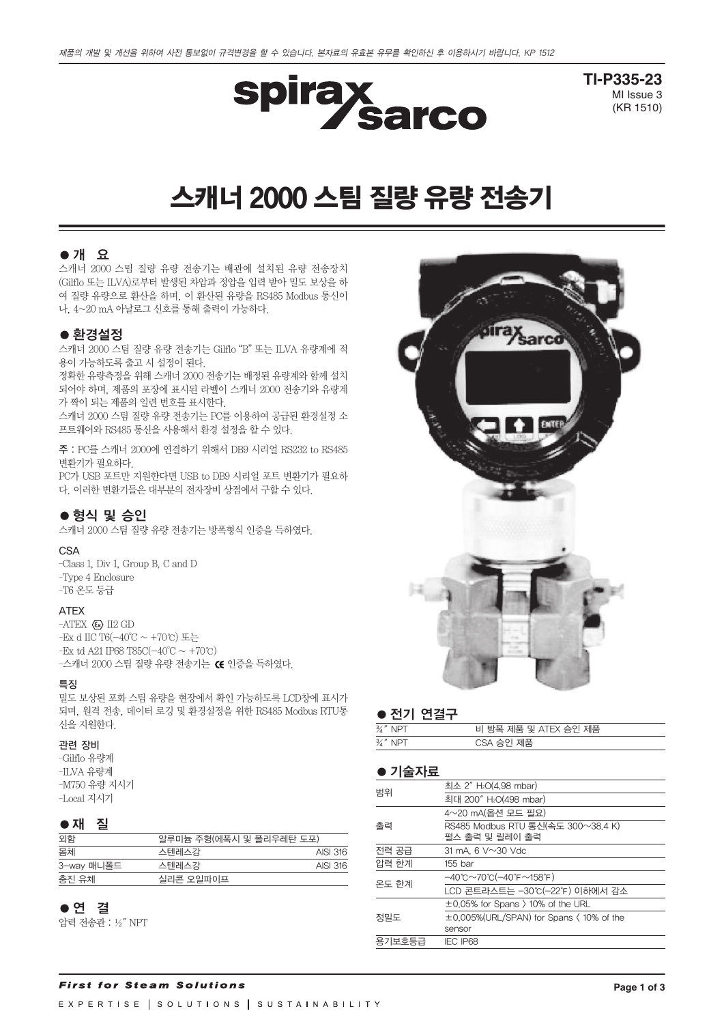

**TI-P335-23** MI Issue 3 (KR 1510)

# 스캐너 2000 스팀 질량 유량 전송기

# ●개 요

스캐너 2000 스팀 질량 유량 전송기는 배관에 설치된 유량 전송장치 (Gilflo 또는 ILVA)로부터 발생된 차압과 정압을 입력 받아 밀도 보상을 하 여 질량 유량으로 환산을 하며, 이 환산된 유량을 RS485 Modbus 통신이 나, 4~20 mA 아날로그 신호를 통해 출력이 가능하다.

#### ● 환경설정

스캐너 2000 스팀 질량 유량 전송기는 Gilflo "B" 또는 ILVA 유량계에 적 용이 가능하도록 출고 시 설정이 된다.

정확한 유량측정을 위해 스캐너 2000 전송기는 배정된 유량계와 함께 설치 되어야 하며, 제품의 포장에 표시된 라벨이 스캐너 2000 전송기와 유량계 가 짝이 되는 제품의 일련 번호를 표시한다.

스캐너 2000 스팀 질량 유량 전송기는 PC를 이용하여 공급된 환경설정 소 프트웨어와 RS485 통신을 사용해서 환경 설정을 할 수 있다.

주 : PC를 스캐너 2000에 연결하기 위해서 DB9 시리얼 RS232 to RS485 변환기가 필요하다.

PC가 USB 포트만 지원한다면 USB to DB9 시리얼 포트 변환기가 필요하 다. 이러한 변환기들은 대부분의 전자장비 상점에서 구할 수 있다.

### ● 형식 및 승인

스캐너 2000 스팀 질량 유량 전송기는 방폭형식 인증을 득하였다.

#### CSA

–Class 1, Div 1, Group B, C and D –Type 4 Enclosure –T6 온도 등급

#### ATEX

 $-ATEX \langle x \rangle$  II2 GD –Ex d IIC T6( $-40^{\circ}$ C ~ +70°C) 또는 –Ex td A21 IP68 T85C(-40°C ~ +70℃) -스캐너 2000 스팀 질량 유량 전송기는 G 인증을 득하였다.

#### 특징

밀도 보상된 포화 스팀 유량을 현장에서 확인 가능하도록 LCD창에 표시가 되며, 원격 전송, 데이터 로깅 및 환경설정을 위한 RS485 Modbus RTU통 신을 지원한다.

#### 관련 장비

–Gilflo 유량계 –ILVA 유량계 –M750 유량 지시기 –Local 지시기

#### ●재 질

| 외함         | 알루미늄 주형(에폭시 및 폴리우레탄 도포) |          |
|------------|-------------------------|----------|
| 몸체         | 스텐레스강                   | AISI 316 |
| 3-way 매니폴드 | 스텐레스강                   | AISI 316 |
| 충진 유체      | 실리콘 오일파이프               |          |

# ●연 결

압력 전송관 : ½″ NPT



#### ● 전기 연결구

| $\frac{3}{4}$ " NPT | 비 방폭 제품 및 ATEX 승인 제품 |
|---------------------|----------------------|
| $\frac{3}{4}$ " NPT | CSA 승인 제품            |

#### ●기술자료

| 범위     | 최소 2" H <sub>2</sub> O(4.98 mbar)                                                |  |  |  |  |  |  |  |
|--------|----------------------------------------------------------------------------------|--|--|--|--|--|--|--|
|        | 최대 200" H <sub>2</sub> O(498 mbar)                                               |  |  |  |  |  |  |  |
|        | 4~20 mA(옵션 모드 필요)                                                                |  |  |  |  |  |  |  |
| 출력     | RS485 Modbus RTU 통신(속도 300~38.4 K)<br>펄스 출력 및 릴레이 출력                             |  |  |  |  |  |  |  |
| 전력 공급  | 31 mA, $6$ V $\sim$ 30 Vdc                                                       |  |  |  |  |  |  |  |
| 압력 한계  | 155 bar                                                                          |  |  |  |  |  |  |  |
|        | $-40^{\circ}$ C $\sim$ 70 $^{\circ}$ C $(-40^{\circ}$ F $\sim$ 158 $^{\circ}$ F) |  |  |  |  |  |  |  |
| 온도 한계  | LCD 콘트라스트는 -30℃(-22℉) 이하에서 감소                                                    |  |  |  |  |  |  |  |
| 정밀도    | $\pm 0.05\%$ for Spans $\rangle$ 10% of the URL                                  |  |  |  |  |  |  |  |
|        | ±0.005%(URL/SPAN) for Spans (10% of the                                          |  |  |  |  |  |  |  |
|        | sensor                                                                           |  |  |  |  |  |  |  |
| 용기보호등급 | <b>IEC IP68</b>                                                                  |  |  |  |  |  |  |  |
|        |                                                                                  |  |  |  |  |  |  |  |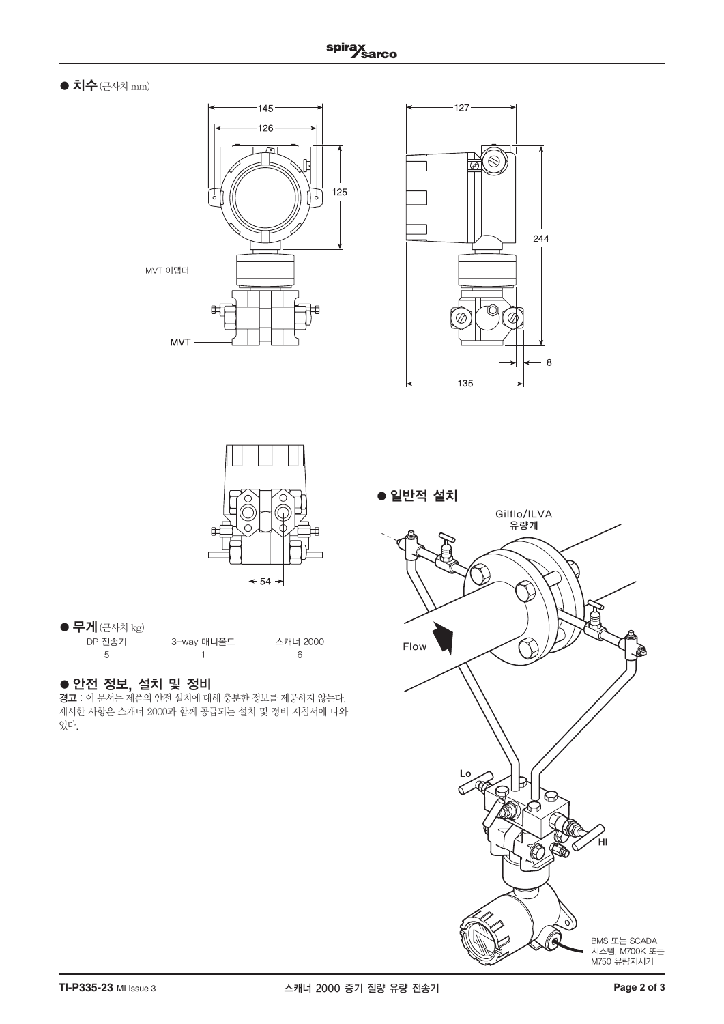# $\bullet$  치수 (근사치 mm)







# ● 무게 $(–근사치 kg $)$$

| 3-way 매니폴드 | 스캐너 2000 |
|------------|----------|
|            |          |

# ●안전 정보, 설치 및 정비

경고 : 이 문서는 제품의 안전 설치에 대해 충분한 정보를 제공하지 않는다. 제시한 사항은 스캐너 2000과 함께 공급되는 설치 및 정비 지침서에 나와 있다.